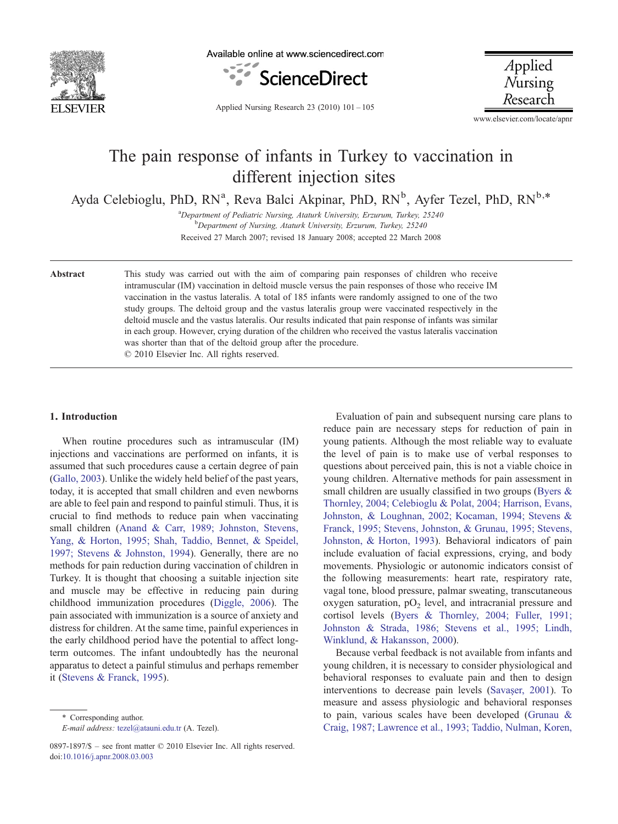

Available online at www.sciencedirect.com



Applied  $N$ ursing Research

Applied Nursing Research 23 (2010) 101–105

www.elsevier.com/locate/apnr

# The pain response of infants in Turkey to vaccination in different injection sites

Ayda Celebioglu, PhD, RN<sup>a</sup>, Reva Balci Akpinar, PhD, RN<sup>b</sup>, Ayfer Tezel, PhD, RN<sup>b,\*</sup>

<sup>a</sup> Department of Pediatric Nursing, Ataturk University, Erzurum, Turkey, 25240<br><sup>b</sup> Department of Nursing, Ataturk University, Erzurum, Turkey, 25240 Department of Nursing, Ataturk University, Erzurum, Turkey, 25240 Received 27 March 2007; revised 18 January 2008; accepted 22 March 2008

Abstract This study was carried out with the aim of comparing pain responses of children who receive intramuscular (IM) vaccination in deltoid muscle versus the pain responses of those who receive IM vaccination in the vastus lateralis. A total of 185 infants were randomly assigned to one of the two study groups. The deltoid group and the vastus lateralis group were vaccinated respectively in the deltoid muscle and the vastus lateralis. Our results indicated that pain response of infants was similar in each group. However, crying duration of the children who received the vastus lateralis vaccination was shorter than that of the deltoid group after the procedure. © 2010 Elsevier Inc. All rights reserved.

## 1. Introduction

When routine procedures such as intramuscular (IM) injections and vaccinations are performed on infants, it is assumed that such procedures cause a certain degree of pain [\(Gallo, 2003\)](#page-4-0). Unlike the widely held belief of the past years, today, it is accepted that small children and even newborns are able to feel pain and respond to painful stimuli. Thus, it is crucial to find methods to reduce pain when vaccinating small children ([Anand & Carr, 1989; Johnston, Stevens,](#page-3-0) [Yang, & Horton, 1995; Shah, Taddio, Bennet, & Speidel,](#page-3-0) [1997; Stevens & Johnston, 1994\)](#page-3-0). Generally, there are no methods for pain reduction during vaccination of children in Turkey. It is thought that choosing a suitable injection site and muscle may be effective in reducing pain during childhood immunization procedures [\(Diggle, 2006](#page-3-0)). The pain associated with immunization is a source of anxiety and distress for children. At the same time, painful experiences in the early childhood period have the potential to affect longterm outcomes. The infant undoubtedly has the neuronal apparatus to detect a painful stimulus and perhaps remember it [\(Stevens & Franck, 1995\)](#page-4-0).

E-mail address: [tezel@atauni.edu.tr](mailto:tezel@atauni.�edu.tr) (A. Tezel).

Evaluation of pain and subsequent nursing care plans to reduce pain are necessary steps for reduction of pain in young patients. Although the most reliable way to evaluate the level of pain is to make use of verbal responses to questions about perceived pain, this is not a viable choice in young children. Alternative methods for pain assessment in small children are usually classified in two groups [\(Byers &](#page-3-0) [Thornley, 2004; Celebioglu & Polat, 2004; Harrison, Evans,](#page-3-0) [Johnston, & Loughnan, 2002; Kocaman, 1994; Stevens &](#page-3-0) [Franck, 1995; Stevens, Johnston, & Grunau, 1995; Stevens,](#page-3-0) [Johnston, & Horton, 1993\)](#page-3-0). Behavioral indicators of pain include evaluation of facial expressions, crying, and body movements. Physiologic or autonomic indicators consist of the following measurements: heart rate, respiratory rate, vagal tone, blood pressure, palmar sweating, transcutaneous oxygen saturation,  $pO<sub>2</sub>$  level, and intracranial pressure and cortisol levels ([Byers & Thornley, 2004; Fuller, 1991;](#page-3-0) [Johnston & Strada, 1986; Stevens et al., 1995; Lindh,](#page-3-0) [Winklund, & Hakansson, 2000](#page-3-0)).

Because verbal feedback is not available from infants and young children, it is necessary to consider physiological and behavioral responses to evaluate pain and then to design interventions to decrease pain levels (Savaş[er, 2001\)](#page-4-0). To measure and assess physiologic and behavioral responses to pain, various scales have been developed [\(Grunau &](#page-4-0) [Craig, 1987; Lawrence et al., 1993; Taddio, Nulman, Koren,](#page-4-0)

<sup>⁎</sup> Corresponding author.

<sup>0897-1897/\$</sup> – see front matter © 2010 Elsevier Inc. All rights reserved. doi[:10.1016/j.apnr.2008.03.003](http://dx.doi.org/10.1016/j.apnr.2008.03.003)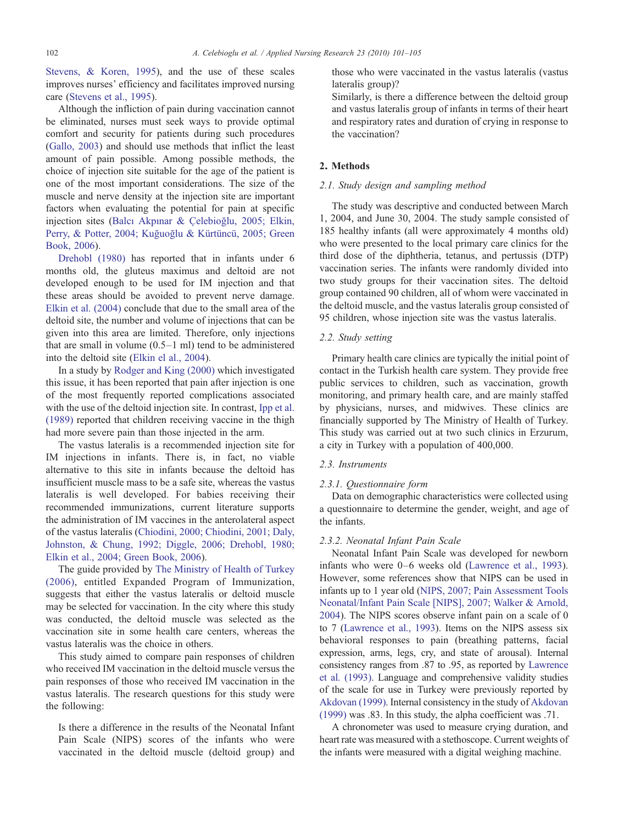[Stevens, & Koren, 1995](#page-4-0)), and the use of these scales improves nurses' efficiency and facilitates improved nursing care ([Stevens et al., 1995](#page-4-0)).

Although the infliction of pain during vaccination cannot be eliminated, nurses must seek ways to provide optimal comfort and security for patients during such procedures [\(Gallo, 2003](#page-4-0)) and should use methods that inflict the least amount of pain possible. Among possible methods, the choice of injection site suitable for the age of the patient is one of the most important considerations. The size of the muscle and nerve density at the injection site are important factors when evaluating the potential for pain at specific injection sites (Balcı Akpınar & Çelebioğ[lu, 2005; Elkin,](#page-3-0) Perry, & Potter, 2004; Kuğuoğ[lu & Kürtüncü, 2005; Green](#page-3-0) [Book, 2006](#page-3-0)).

[Drehobl \(1980\)](#page-3-0) has reported that in infants under 6 months old, the gluteus maximus and deltoid are not developed enough to be used for IM injection and that these areas should be avoided to prevent nerve damage. [Elkin et al. \(2004\)](#page-4-0) conclude that due to the small area of the deltoid site, the number and volume of injections that can be given into this area are limited. Therefore, only injections that are small in volume (0.5–1 ml) tend to be administered into the deltoid site ([Elkin el al., 2004](#page-4-0)).

In a study by [Rodger and King \(2000\)](#page-4-0) which investigated this issue, it has been reported that pain after injection is one of the most frequently reported complications associated with the use of the deltoid injection site. In contrast, [Ipp et al.](#page-4-0) [\(1989\)](#page-4-0) reported that children receiving vaccine in the thigh had more severe pain than those injected in the arm.

The vastus lateralis is a recommended injection site for IM injections in infants. There is, in fact, no viable alternative to this site in infants because the deltoid has insufficient muscle mass to be a safe site, whereas the vastus lateralis is well developed. For babies receiving their recommended immunizations, current literature supports the administration of IM vaccines in the anterolateral aspect of the vastus lateralis ([Chiodini, 2000; Chiodini, 2001; Daly,](#page-3-0) [Johnston, & Chung, 1992; Diggle, 2006; Drehobl, 1980;](#page-3-0) [Elkin et al., 2004; Green Book, 2006](#page-3-0)).

The guide provided by [The Ministry of Health of Turkey](#page-4-0) [\(2006\),](#page-4-0) entitled Expanded Program of Immunization, suggests that either the vastus lateralis or deltoid muscle may be selected for vaccination. In the city where this study was conducted, the deltoid muscle was selected as the vaccination site in some health care centers, whereas the vastus lateralis was the choice in others.

This study aimed to compare pain responses of children who received IM vaccination in the deltoid muscle versus the pain responses of those who received IM vaccination in the vastus lateralis. The research questions for this study were the following:

Is there a difference in the results of the Neonatal Infant Pain Scale (NIPS) scores of the infants who were vaccinated in the deltoid muscle (deltoid group) and

those who were vaccinated in the vastus lateralis (vastus lateralis group)?

Similarly, is there a difference between the deltoid group and vastus lateralis group of infants in terms of their heart and respiratory rates and duration of crying in response to the vaccination?

# 2. Methods

#### 2.1. Study design and sampling method

The study was descriptive and conducted between March 1, 2004, and June 30, 2004. The study sample consisted of 185 healthy infants (all were approximately 4 months old) who were presented to the local primary care clinics for the third dose of the diphtheria, tetanus, and pertussis (DTP) vaccination series. The infants were randomly divided into two study groups for their vaccination sites. The deltoid group contained 90 children, all of whom were vaccinated in the deltoid muscle, and the vastus lateralis group consisted of 95 children, whose injection site was the vastus lateralis.

### 2.2. Study setting

Primary health care clinics are typically the initial point of contact in the Turkish health care system. They provide free public services to children, such as vaccination, growth monitoring, and primary health care, and are mainly staffed by physicians, nurses, and midwives. These clinics are financially supported by The Ministry of Health of Turkey. This study was carried out at two such clinics in Erzurum, a city in Turkey with a population of 400,000.

## 2.3. Instruments

## 2.3.1. Questionnaire form

Data on demographic characteristics were collected using a questionnaire to determine the gender, weight, and age of the infants.

#### 2.3.2. Neonatal Infant Pain Scale

Neonatal Infant Pain Scale was developed for newborn infants who were 0–6 weeks old ([Lawrence et al., 1993](#page-4-0)). However, some references show that NIPS can be used in infants up to 1 year old ([NIPS, 2007; Pain Assessment Tools](#page-4-0) [Neonatal/Infant Pain Scale \[NIPS\], 2007; Walker & Arnold,](#page-4-0) [2004](#page-4-0)). The NIPS scores observe infant pain on a scale of 0 to 7 [\(Lawrence et al., 1993](#page-4-0)). Items on the NIPS assess six behavioral responses to pain (breathing patterns, facial expression, arms, legs, cry, and state of arousal). Internal consistency ranges from .87 to .95, as reported by [Lawrence](#page-4-0) [et al. \(1993\).](#page-4-0) Language and comprehensive validity studies of the scale for use in Turkey were previously reported by [Akdovan \(1999\).](#page-3-0) Internal consistency in the study of [Akdovan](#page-3-0) [\(1999\)](#page-3-0) was .83. In this study, the alpha coefficient was .71.

A chronometer was used to measure crying duration, and heart rate was measured with a stethoscope. Current weights of the infants were measured with a digital weighing machine.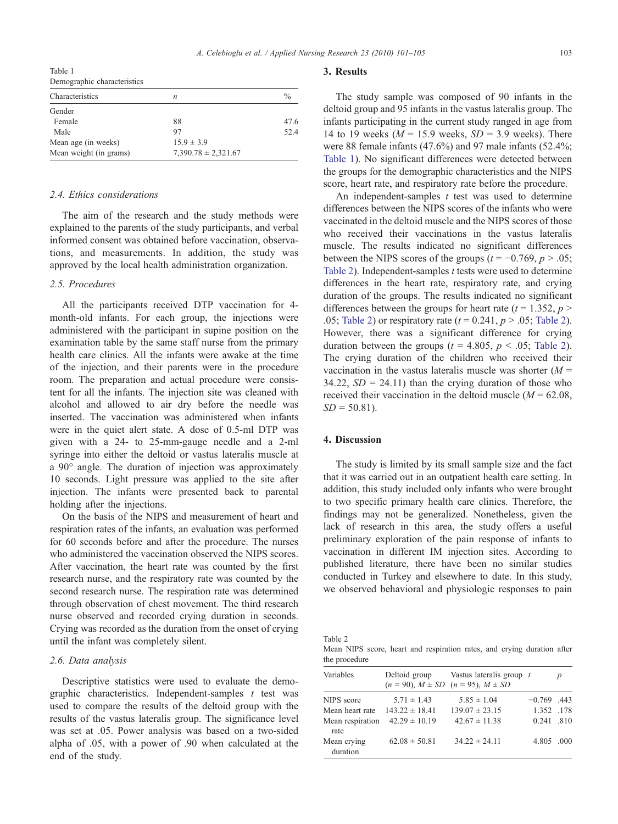<span id="page-2-0"></span>Table 1 Demographic characteristics

| Characteristics        | n                       | $\%$ |
|------------------------|-------------------------|------|
|                        |                         |      |
| Gender                 |                         |      |
| Female                 | 88                      | 47.6 |
| Male                   | 97                      | 52.4 |
| Mean age (in weeks)    | $15.9 \pm 3.9$          |      |
| Mean weight (in grams) | $7,390.78 \pm 2,321.67$ |      |

## 2.4. Ethics considerations

The aim of the research and the study methods were explained to the parents of the study participants, and verbal informed consent was obtained before vaccination, observations, and measurements. In addition, the study was approved by the local health administration organization.

## 2.5. Procedures

All the participants received DTP vaccination for 4 month-old infants. For each group, the injections were administered with the participant in supine position on the examination table by the same staff nurse from the primary health care clinics. All the infants were awake at the time of the injection, and their parents were in the procedure room. The preparation and actual procedure were consistent for all the infants. The injection site was cleaned with alcohol and allowed to air dry before the needle was inserted. The vaccination was administered when infants were in the quiet alert state. A dose of 0.5-ml DTP was given with a 24- to 25-mm-gauge needle and a 2-ml syringe into either the deltoid or vastus lateralis muscle at a 90° angle. The duration of injection was approximately 10 seconds. Light pressure was applied to the site after injection. The infants were presented back to parental holding after the injections.

On the basis of the NIPS and measurement of heart and respiration rates of the infants, an evaluation was performed for 60 seconds before and after the procedure. The nurses who administered the vaccination observed the NIPS scores. After vaccination, the heart rate was counted by the first research nurse, and the respiratory rate was counted by the second research nurse. The respiration rate was determined through observation of chest movement. The third research nurse observed and recorded crying duration in seconds. Crying was recorded as the duration from the onset of crying until the infant was completely silent.

### 2.6. Data analysis

Descriptive statistics were used to evaluate the demographic characteristics. Independent-samples  $t$  test was used to compare the results of the deltoid group with the results of the vastus lateralis group. The significance level was set at .05. Power analysis was based on a two-sided alpha of .05, with a power of .90 when calculated at the end of the study.

#### 3. Results

The study sample was composed of 90 infants in the deltoid group and 95 infants in the vastus lateralis group. The infants participating in the current study ranged in age from 14 to 19 weeks ( $M = 15.9$  weeks,  $SD = 3.9$  weeks). There were 88 female infants (47.6%) and 97 male infants (52.4%; Table 1). No significant differences were detected between the groups for the demographic characteristics and the NIPS score, heart rate, and respiratory rate before the procedure.

An independent-samples  $t$  test was used to determine differences between the NIPS scores of the infants who were vaccinated in the deltoid muscle and the NIPS scores of those who received their vaccinations in the vastus lateralis muscle. The results indicated no significant differences between the NIPS scores of the groups ( $t = -0.769$ ,  $p > .05$ ; Table 2). Independent-samples  $t$  tests were used to determine differences in the heart rate, respiratory rate, and crying duration of the groups. The results indicated no significant differences between the groups for heart rate ( $t = 1.352$ ,  $p >$ .05; Table 2) or respiratory rate  $(t = 0.241, p > .05;$  Table 2). However, there was a significant difference for crying duration between the groups ( $t = 4.805$ ,  $p < .05$ ; Table 2). The crying duration of the children who received their vaccination in the vastus lateralis muscle was shorter  $(M =$ 34.22,  $SD = 24.11$ ) than the crying duration of those who received their vaccination in the deltoid muscle  $(M = 62.08$ ,  $SD = 50.81$ ).

## 4. Discussion

The study is limited by its small sample size and the fact that it was carried out in an outpatient health care setting. In addition, this study included only infants who were brought to two specific primary health care clinics. Therefore, the findings may not be generalized. Nonetheless, given the lack of research in this area, the study offers a useful preliminary exploration of the pain response of infants to vaccination in different IM injection sites. According to published literature, there have been no similar studies conducted in Turkey and elsewhere to date. In this study, we observed behavioral and physiologic responses to pain

| Table 2                                                                 |  |  |  |  |
|-------------------------------------------------------------------------|--|--|--|--|
| Mean NIPS score, heart and respiration rates, and crying duration after |  |  |  |  |
| the procedure                                                           |  |  |  |  |

| Variables                | Deltoid group      | Vastus lateralis group $t$<br>$(n = 90)$ , $M \pm SD$ $(n = 95)$ , $M \pm SD$ |               | $\boldsymbol{p}$ |
|--------------------------|--------------------|-------------------------------------------------------------------------------|---------------|------------------|
| NIPS score               | $5.71 \pm 1.43$    | $5.85 \pm 1.04$                                                               | $-0.769$ .443 |                  |
| Mean heart rate          | $143.22 \pm 18.41$ | $139.07 \pm 23.15$                                                            | 1.352 .178    |                  |
| Mean respiration<br>rate | $42.29 \pm 10.19$  | $42.67 \pm 11.38$                                                             | $0.241$ .810  |                  |
| Mean crying<br>duration  | $62.08 \pm 50.81$  | $34.22 \pm 24.11$                                                             | 4.805 .000    |                  |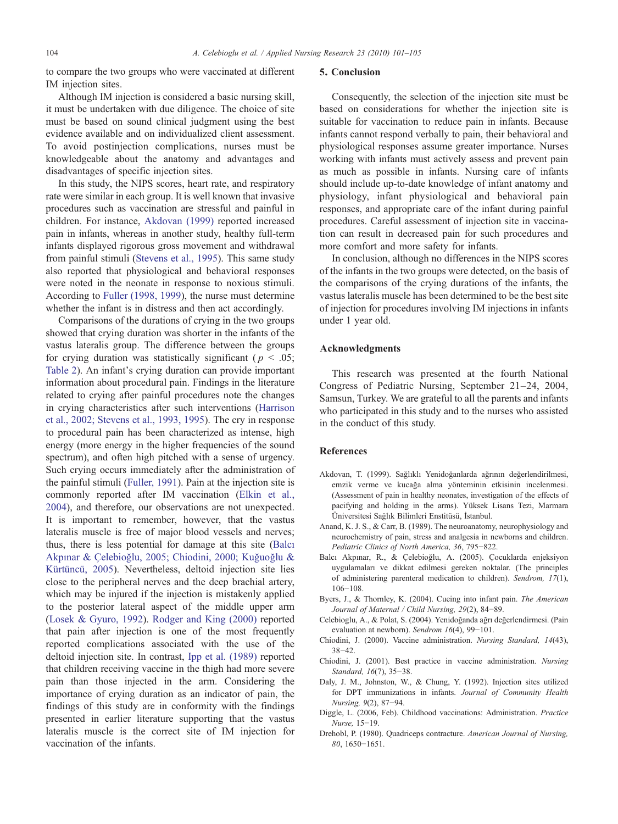<span id="page-3-0"></span>to compare the two groups who were vaccinated at different IM injection sites.

# Although IM injection is considered a basic nursing skill, it must be undertaken with due diligence. The choice of site must be based on sound clinical judgment using the best evidence available and on individualized client assessment. To avoid postinjection complications, nurses must be knowledgeable about the anatomy and advantages and disadvantages of specific injection sites.

In this study, the NIPS scores, heart rate, and respiratory rate were similar in each group. It is well known that invasive procedures such as vaccination are stressful and painful in children. For instance, Akdovan (1999) reported increased pain in infants, whereas in another study, healthy full-term infants displayed rigorous gross movement and withdrawal from painful stimuli ([Stevens et al., 1995](#page-4-0)). This same study also reported that physiological and behavioral responses were noted in the neonate in response to noxious stimuli. According to [Fuller \(1998, 1999](#page-4-0)), the nurse must determine whether the infant is in distress and then act accordingly.

Comparisons of the durations of crying in the two groups showed that crying duration was shorter in the infants of the vastus lateralis group. The difference between the groups for crying duration was statistically significant ( $p < .05$ ; [Table 2\)](#page-2-0). An infant's crying duration can provide important information about procedural pain. Findings in the literature related to crying after painful procedures note the changes in crying characteristics after such interventions ([Harrison](#page-4-0) [et al., 2002; Stevens et al., 1993, 1995\)](#page-4-0). The cry in response to procedural pain has been characterized as intense, high energy (more energy in the higher frequencies of the sound spectrum), and often high pitched with a sense of urgency. Such crying occurs immediately after the administration of the painful stimuli [\(Fuller, 1991\)](#page-4-0). Pain at the injection site is commonly reported after IM vaccination ([Elkin et al.,](#page-4-0) [2004](#page-4-0)), and therefore, our observations are not unexpected. It is important to remember, however, that the vastus lateralis muscle is free of major blood vessels and nerves; thus, there is less potential for damage at this site (Balcı Akpınar & Çelebioğlu, 2005; Chiodini, 2000; Kuğuoğlu & Kürtüncü, 2005). Nevertheless, deltoid injection site lies close to the peripheral nerves and the deep brachial artery, which may be injured if the injection is mistakenly applied to the posterior lateral aspect of the middle upper arm [\(Losek & Gyuro, 1992](#page-4-0)). [Rodger and King \(2000\)](#page-4-0) reported that pain after injection is one of the most frequently reported complications associated with the use of the deltoid injection site. In contrast, [Ipp et al. \(1989\)](#page-4-0) reported that children receiving vaccine in the thigh had more severe pain than those injected in the arm. Considering the importance of crying duration as an indicator of pain, the findings of this study are in conformity with the findings presented in earlier literature supporting that the vastus lateralis muscle is the correct site of IM injection for vaccination of the infants.

#### 5. Conclusion

Consequently, the selection of the injection site must be based on considerations for whether the injection site is suitable for vaccination to reduce pain in infants. Because infants cannot respond verbally to pain, their behavioral and physiological responses assume greater importance. Nurses working with infants must actively assess and prevent pain as much as possible in infants. Nursing care of infants should include up-to-date knowledge of infant anatomy and physiology, infant physiological and behavioral pain responses, and appropriate care of the infant during painful procedures. Careful assessment of injection site in vaccination can result in decreased pain for such procedures and more comfort and more safety for infants.

In conclusion, although no differences in the NIPS scores of the infants in the two groups were detected, on the basis of the comparisons of the crying durations of the infants, the vastus lateralis muscle has been determined to be the best site of injection for procedures involving IM injections in infants under 1 year old.

## Acknowledgments

This research was presented at the fourth National Congress of Pediatric Nursing, September 21–24, 2004, Samsun, Turkey. We are grateful to all the parents and infants who participated in this study and to the nurses who assisted in the conduct of this study.

#### **References**

- Akdovan, T. (1999). Sağlıklı Yenidoğanlarda ağrının değerlendirilmesi, emzik verme ve kucağa alma yönteminin etkisinin incelenmesi. (Assessment of pain in healthy neonates, investigation of the effects of pacifying and holding in the arms). Yüksek Lisans Tezi, Marmara Üniversitesi Sağlık Bilimleri Enstitüsü, İstanbul.
- Anand, K. J. S., & Carr, B. (1989). The neuroanatomy, neurophysiology and neurochemistry of pain, stress and analgesia in newborns and children. Pediatric Clinics of North America, 36, 795−822.
- Balcı Akpınar, R., & Çelebioğlu, A. (2005). Çocuklarda enjeksiyon uygulamaları ve dikkat edilmesi gereken noktalar. (The principles of administering parenteral medication to children). Sendrom, 17(1), 106−108.
- Byers, J., & Thornley, K. (2004). Cueing into infant pain. The American Journal of Maternal / Child Nursing, 29(2), 84−89.
- Celebioglu, A., & Polat, S. (2004). Yenidoğanda ağrı değerlendirmesi. (Pain evaluation at newborn). Sendrom 16(4), 99−101.
- Chiodini, J. (2000). Vaccine administration. Nursing Standard, 14(43), 38−42.
- Chiodini, J. (2001). Best practice in vaccine administration. Nursing Standard, 16(7), 35−38.
- Daly, J. M., Johnston, W., & Chung, Y. (1992). Injection sites utilized for DPT immunizations in infants. Journal of Community Health Nursing, 9(2), 87−94.
- Diggle, L. (2006, Feb). Childhood vaccinations: Administration. Practice Nurse, 15−19.
- Drehobl, P. (1980). Quadriceps contracture. American Journal of Nursing, 80, 1650−1651.